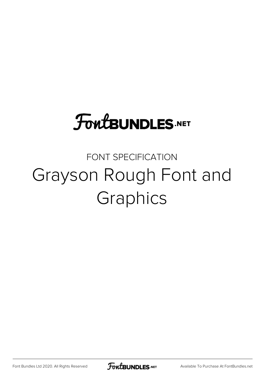# **FoutBUNDLES.NET**

#### FONT SPECIFICATION Grayson Rough Font and Graphics

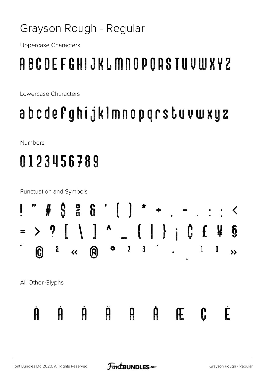#### Grayson Rough - Regular

**Uppercase Characters** 

### ABCDEFGHIJKLMNOPORSTUVWXYZ

Lowercase Characters

### abcdefghijklmnopgrstuvwxyz

**Numbers** 

## 0123456789

**Punctuation and Symbols** # \$ & & ' [ ]  $\label{eq:3.1} \frac{\partial}{\partial x^2} \frac{\partial}{\partial x^2} = \frac{\partial}{\partial x^2} \left( \frac{\partial}{\partial x^2} + \frac{\partial}{\partial x^2} \right) \frac{\partial}{\partial x^2} = \frac{\partial}{\partial x^2} \left( \frac{\partial}{\partial x^2} + \frac{\partial}{\partial x^2} \right) \frac{\partial}{\partial x^2} = \frac{\partial}{\partial x^2} \left( \frac{\partial}{\partial x^2} + \frac{\partial}{\partial x^2} \right) \frac{\partial}{\partial x^2} = \frac{\partial}{\partial x^2} \left( \frac{\partial}{\partial x^2} + \frac{\partial}{\$  $\begin{array}{c} \begin{array}{c} \end{array} \end{array} \begin{array}{c} \begin{array}{c} \end{array} \begin{array}{c} \end{array} \begin{array}{c} \end{array} \begin{array}{c} \end{array} \begin{array}{c} \end{array} \begin{array}{c} \end{array} \begin{array}{c} \end{array} \begin{array}{c} \end{array} \begin{array}{c} \end{array} \begin{array}{c} \end{array} \begin{array}{c} \end{array} \begin{array}{c} \end{array} \begin{array}{c} \end{array} \begin{array}{c} \end{array} \begin{array}{c} \end{array} \begin{array}{c} \end$ > ? [ \ ] ^  $\overline{\phantom{a}}$  $\bullet$  2  $\overline{\mathbf{3}}$  $\mathfrak{g}$  $\mathbf{l}$  $\pmb{0}$ **A**  $\bm{\mathbb{O}}$  $\ll$  $\rightarrow$ All Other Glyphs  $\mathbf{\hat{p}}$   $\mathbf{\hat{p}}$  $\mathbf \theta$ È C  $\bm{\beta}$ Ĥ Æ.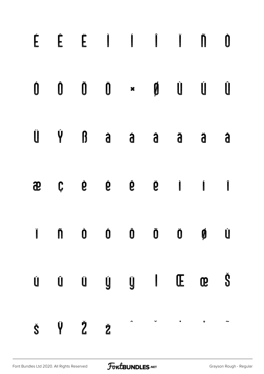|   |   |     |  | ÉÊË I Í Î Ï Ñ Û                                                                                                                                                                                                                                                                                                                                                                                                                                                                                                                  |   |
|---|---|-----|--|----------------------------------------------------------------------------------------------------------------------------------------------------------------------------------------------------------------------------------------------------------------------------------------------------------------------------------------------------------------------------------------------------------------------------------------------------------------------------------------------------------------------------------|---|
|   |   |     |  | $\begin{matrix} 0 & 0 & 0 \end{matrix} \quad \begin{matrix} 0 & 0 \end{matrix} \quad \begin{matrix} 0 & 0 \end{matrix} \quad \begin{matrix} 0 & 0 \end{matrix} \quad \begin{matrix} 0 & 0 \end{matrix} \quad \begin{matrix} 0 & 0 \end{matrix} \quad \begin{matrix} 0 & 0 \end{matrix} \quad \begin{matrix} 0 & 0 \end{matrix} \quad \begin{matrix} 0 & 0 \end{matrix} \quad \begin{matrix} 0 & 0 \end{matrix} \quad \begin{matrix} 0 & 0 \end{matrix} \quad \begin{matrix} 0 & 0 \end{matrix} \quad \begin{matrix} 0 & 0 \end{$ |   |
|   |   |     |  |                                                                                                                                                                                                                                                                                                                                                                                                                                                                                                                                  | d |
| æ |   |     |  | $\begin{array}{ccccccccccccccccc}\nC & \hat{C} & \hat{C} & \hat{C} & \hat{C} & \hat{C} & \hat{C} & \hat{C} & \hat{C} & \hat{C} & \hat{C} & \hat{C} & \hat{C} & \hat{C} & \hat{C} & \hat{C} & \hat{C} & \hat{C} & \hat{C} & \hat{C} & \hat{C} & \hat{C} & \hat{C} & \hat{C} & \hat{C} & \hat{C} & \hat{C$                                                                                                                                                                                                                         |   |
|   |   |     |  | I Ñ Ò Ó Ô Õ Ö Ø Ù                                                                                                                                                                                                                                                                                                                                                                                                                                                                                                                |   |
|   |   |     |  |                                                                                                                                                                                                                                                                                                                                                                                                                                                                                                                                  |   |
| Š | Ÿ | Ž ž |  |                                                                                                                                                                                                                                                                                                                                                                                                                                                                                                                                  |   |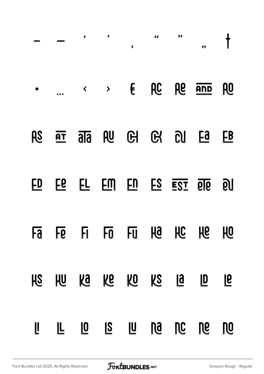|           |           | ₫                       | P                               | P             | d d       | pp           | pp           |           |
|-----------|-----------|-------------------------|---------------------------------|---------------|-----------|--------------|--------------|-----------|
|           |           | $\blacktriangleleft$    |                                 | $\rightarrow$ |           | <b>AC</b> Ae | AND          | <b>PO</b> |
| RS        | AT        |                         | $\overline{ab}$ $\overline{db}$ |               | GI G      | <b>DU</b>    | Ea           | <b>EB</b> |
| ED        | <b>EG</b> |                         | EM                              |               | ES        |              | E2I 616      | QU        |
| <b>Ha</b> |           |                         | Fe Fi Fo Fu                     |               |           | Ha Hc He     |              | 10        |
| HS        | <b>JU</b> |                         | ka ke                           | KO            | KS        | <b>1</b>     | $\mathbf{D}$ | <b>P</b>  |
|           |           | $\overline{\mathbf{0}}$ | $\overline{S}$                  |               | <b>Da</b> | <b>NC</b>    | De           | <b>DO</b> |